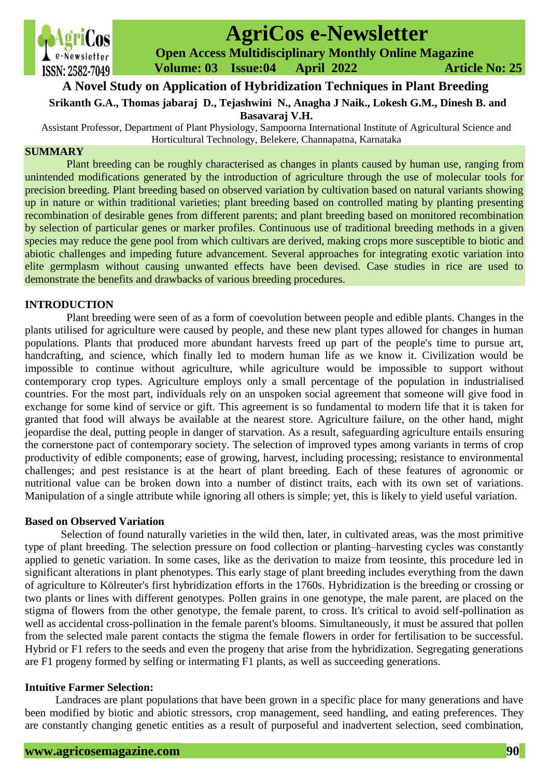

# **AgriCos e-Newsletter**

 **Open Access Multidisciplinary Monthly Online Magazine**

 **Volume: 03 Issue:04 April 2022 Article No: 25**

# **A Novel Study on Application of Hybridization Techniques in Plant Breeding**

**Srikanth G.A., Thomas jabaraj D., Tejashwini N., Anagha J Naik., Lokesh G.M., Dinesh B. and <b>Resputed I** 

**Basavaraj V.H.**

Assistant Professor, Department of Plant Physiology, Sampoorna International Institute of Agricultural Science and Horticultural Technology, Belekere, Channapatna, Karnataka

# **SUMMARY**

Plant breeding can be roughly characterised as changes in plants caused by human use, ranging from unintended modifications generated by the introduction of agriculture through the use of molecular tools for precision breeding. Plant breeding based on observed variation by cultivation based on natural variants showing up in nature or within traditional varieties; plant breeding based on controlled mating by planting presenting recombination of desirable genes from different parents; and plant breeding based on monitored recombination by selection of particular genes or marker profiles. Continuous use of traditional breeding methods in a given species may reduce the gene pool from which cultivars are derived, making crops more susceptible to biotic and abiotic challenges and impeding future advancement. Several approaches for integrating exotic variation into elite germplasm without causing unwanted effects have been devised. Case studies in rice are used to demonstrate the benefits and drawbacks of various breeding procedures.

# **INTRODUCTION**

Plant breeding were seen of as a form of coevolution between people and edible plants. Changes in the plants utilised for agriculture were caused by people, and these new plant types allowed for changes in human populations. Plants that produced more abundant harvests freed up part of the people's time to pursue art, handcrafting, and science, which finally led to modern human life as we know it. Civilization would be impossible to continue without agriculture, while agriculture would be impossible to support without contemporary crop types. Agriculture employs only a small percentage of the population in industrialised countries. For the most part, individuals rely on an unspoken social agreement that someone will give food in exchange for some kind of service or gift. This agreement is so fundamental to modern life that it is taken for granted that food will always be available at the nearest store. Agriculture failure, on the other hand, might jeopardise the deal, putting people in danger of starvation. As a result, safeguarding agriculture entails ensuring the cornerstone pact of contemporary society. The selection of improved types among variants in terms of crop productivity of edible components; ease of growing, harvest, including processing; resistance to environmental challenges; and pest resistance is at the heart of plant breeding. Each of these features of agronomic or nutritional value can be broken down into a number of distinct traits, each with its own set of variations. Manipulation of a single attribute while ignoring all others is simple; yet, this is likely to yield useful variation.

#### **Based on Observed Variation**

Selection of found naturally varieties in the wild then, later, in cultivated areas, was the most primitive type of plant breeding. The selection pressure on food collection or planting–harvesting cycles was constantly applied to genetic variation. In some cases, like as the derivation to maize from teosinte, this procedure led in significant alterations in plant phenotypes. This early stage of plant breeding includes everything from the dawn of agriculture to Kölreuter's first hybridization efforts in the 1760s. Hybridization is the breeding or crossing or two plants or lines with different genotypes. Pollen grains in one genotype, the male parent, are placed on the stigma of flowers from the other genotype, the female parent, to cross. It's critical to avoid self-pollination as well as accidental cross-pollination in the female parent's blooms. Simultaneously, it must be assured that pollen from the selected male parent contacts the stigma the female flowers in order for fertilisation to be successful. Hybrid or F1 refers to the seeds and even the progeny that arise from the hybridization. Segregating generations are F1 progeny formed by selfing or intermating F1 plants, as well as succeeding generations.

# **Intuitive Farmer Selection:**

 Landraces are plant populations that have been grown in a specific place for many generations and have been modified by biotic and abiotic stressors, crop management, seed handling, and eating preferences. They are constantly changing genetic entities as a result of purposeful and inadvertent selection, seed combination,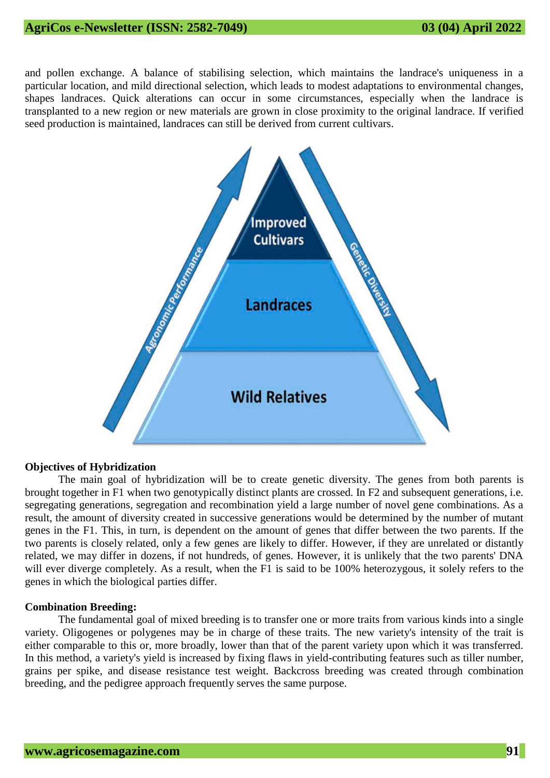and pollen exchange. A balance of stabilising selection, which maintains the landrace's uniqueness in a particular location, and mild directional selection, which leads to modest adaptations to environmental changes, shapes landraces. Quick alterations can occur in some circumstances, especially when the landrace is transplanted to a new region or new materials are grown in close proximity to the original landrace. If verified seed production is maintained, landraces can still be derived from current cultivars.



#### **Objectives of Hybridization**

The main goal of hybridization will be to create genetic diversity. The genes from both parents is brought together in F1 when two genotypically distinct plants are crossed. In F2 and subsequent generations, i.e. segregating generations, segregation and recombination yield a large number of novel gene combinations. As a result, the amount of diversity created in successive generations would be determined by the number of mutant genes in the F1. This, in turn, is dependent on the amount of genes that differ between the two parents. If the two parents is closely related, only a few genes are likely to differ. However, if they are unrelated or distantly related, we may differ in dozens, if not hundreds, of genes. However, it is unlikely that the two parents' DNA will ever diverge completely. As a result, when the F1 is said to be 100% heterozygous, it solely refers to the genes in which the biological parties differ.

#### **Combination Breeding:**

The fundamental goal of mixed breeding is to transfer one or more traits from various kinds into a single variety. Oligogenes or polygenes may be in charge of these traits. The new variety's intensity of the trait is either comparable to this or, more broadly, lower than that of the parent variety upon which it was transferred. In this method, a variety's yield is increased by fixing flaws in yield-contributing features such as tiller number, grains per spike, and disease resistance test weight. Backcross breeding was created through combination breeding, and the pedigree approach frequently serves the same purpose.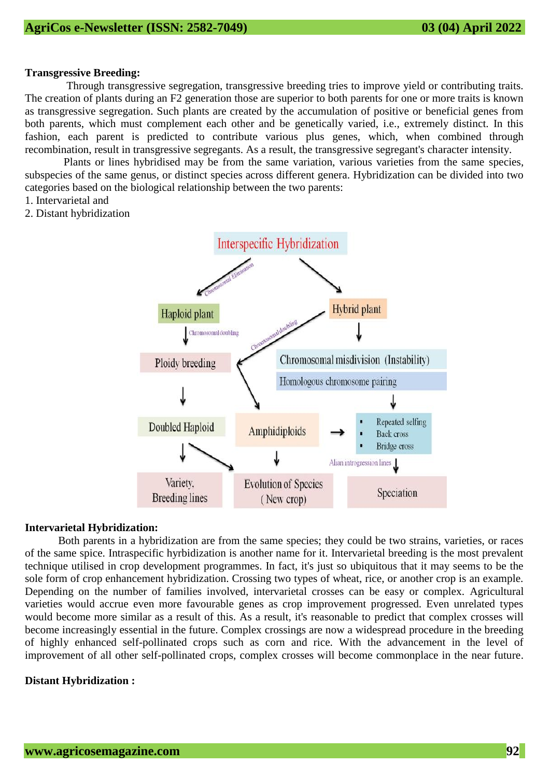# **Transgressive Breeding:**

Through transgressive segregation, transgressive breeding tries to improve yield or contributing traits. The creation of plants during an F2 generation those are superior to both parents for one or more traits is known as transgressive segregation. Such plants are created by the accumulation of positive or beneficial genes from both parents, which must complement each other and be genetically varied, i.e., extremely distinct. In this fashion, each parent is predicted to contribute various plus genes, which, when combined through recombination, result in transgressive segregants. As a result, the transgressive segregant's character intensity.

 Plants or lines hybridised may be from the same variation, various varieties from the same species, subspecies of the same genus, or distinct species across different genera. Hybridization can be divided into two categories based on the biological relationship between the two parents:

- 1. Intervarietal and
- 2. Distant hybridization



# **Intervarietal Hybridization:**

Both parents in a hybridization are from the same species; they could be two strains, varieties, or races of the same spice. Intraspecific hyrbidization is another name for it. Intervarietal breeding is the most prevalent technique utilised in crop development programmes. In fact, it's just so ubiquitous that it may seems to be the sole form of crop enhancement hybridization. Crossing two types of wheat, rice, or another crop is an example. Depending on the number of families involved, intervarietal crosses can be easy or complex. Agricultural varieties would accrue even more favourable genes as crop improvement progressed. Even unrelated types would become more similar as a result of this. As a result, it's reasonable to predict that complex crosses will become increasingly essential in the future. Complex crossings are now a widespread procedure in the breeding of highly enhanced self-pollinated crops such as corn and rice. With the advancement in the level of improvement of all other self-pollinated crops, complex crosses will become commonplace in the near future.

# **Distant Hybridization :**